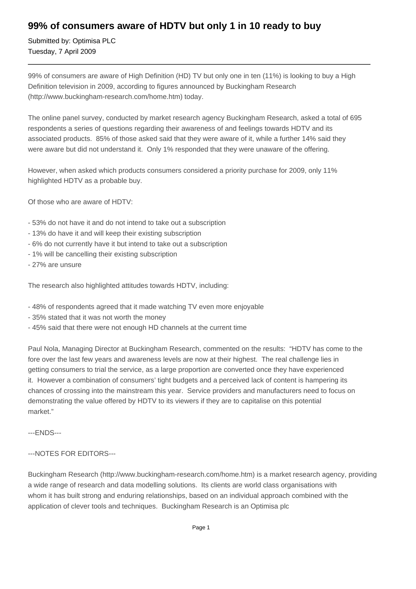## **99% of consumers aware of HDTV but only 1 in 10 ready to buy**

Submitted by: Optimisa PLC Tuesday, 7 April 2009

99% of consumers are aware of High Definition (HD) TV but only one in ten (11%) is looking to buy a High Definition television in 2009, according to figures announced by Buckingham Research (http://www.buckingham-research.com/home.htm) today.

The online panel survey, conducted by market research agency Buckingham Research, asked a total of 695 respondents a series of questions regarding their awareness of and feelings towards HDTV and its associated products. 85% of those asked said that they were aware of it, while a further 14% said they were aware but did not understand it. Only 1% responded that they were unaware of the offering.

However, when asked which products consumers considered a priority purchase for 2009, only 11% highlighted HDTV as a probable buy.

Of those who are aware of HDTV:

- 53% do not have it and do not intend to take out a subscription
- 13% do have it and will keep their existing subscription
- 6% do not currently have it but intend to take out a subscription
- 1% will be cancelling their existing subscription
- 27% are unsure

The research also highlighted attitudes towards HDTV, including:

- 48% of respondents agreed that it made watching TV even more enjoyable
- 35% stated that it was not worth the money
- 45% said that there were not enough HD channels at the current time

Paul Nola, Managing Director at Buckingham Research, commented on the results: "HDTV has come to the fore over the last few years and awareness levels are now at their highest. The real challenge lies in getting consumers to trial the service, as a large proportion are converted once they have experienced it. However a combination of consumers' tight budgets and a perceived lack of content is hampering its chances of crossing into the mainstream this year. Service providers and manufacturers need to focus on demonstrating the value offered by HDTV to its viewers if they are to capitalise on this potential market."

---ENDS---

## ---NOTES FOR EDITORS---

Buckingham Research (http://www.buckingham-research.com/home.htm) is a market research agency, providing a wide range of research and data modelling solutions. Its clients are world class organisations with whom it has built strong and enduring relationships, based on an individual approach combined with the application of clever tools and techniques. Buckingham Research is an Optimisa plc